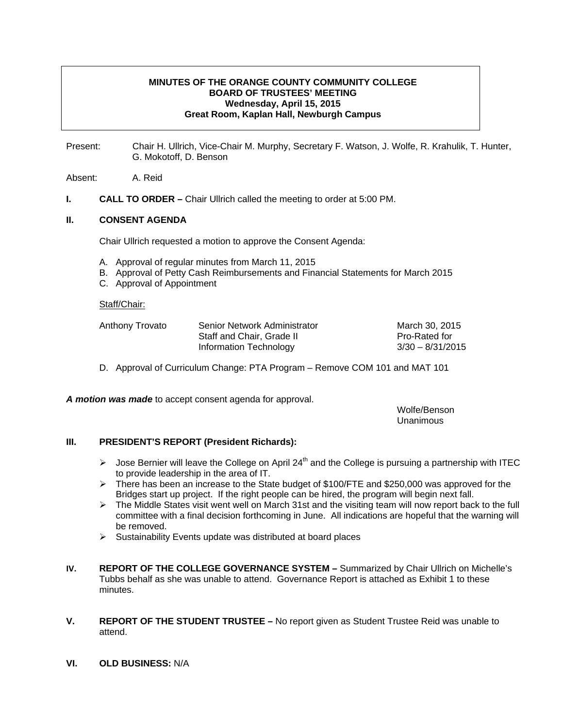# **MINUTES OF THE ORANGE COUNTY COMMUNITY COLLEGE BOARD OF TRUSTEES' MEETING Wednesday, April 15, 2015 Great Room, Kaplan Hall, Newburgh Campus**

Present: Chair H. Ullrich, Vice-Chair M. Murphy, Secretary F. Watson, J. Wolfe, R. Krahulik, T. Hunter, G. Mokotoff, D. Benson

Absent: A. Reid

**I.** CALL TO ORDER – Chair Ullrich called the meeting to order at 5:00 PM.

### **II. CONSENT AGENDA**

Chair Ullrich requested a motion to approve the Consent Agenda:

- A. Approval of regular minutes from March 11, 2015
- B. Approval of Petty Cash Reimbursements and Financial Statements for March 2015
- C. Approval of Appointment

#### Staff/Chair:

| Anthony Trovato | Senior Network Administrator | March 30, 2015       |
|-----------------|------------------------------|----------------------|
|                 | Staff and Chair, Grade II    | <b>Pro-Rated for</b> |
|                 | Information Technology       | $3/30 - 8/31/2015$   |

D. Approval of Curriculum Change: PTA Program – Remove COM 101 and MAT 101

*A motion was made* to accept consent agenda for approval.

 Wolfe/Benson Unanimous

### **III. PRESIDENT'S REPORT (President Richards):**

- $\triangleright$  Jose Bernier will leave the College on April 24<sup>th</sup> and the College is pursuing a partnership with ITEC to provide leadership in the area of IT.
- ¾ There has been an increase to the State budget of \$100/FTE and \$250,000 was approved for the Bridges start up project. If the right people can be hired, the program will begin next fall.
- ¾ The Middle States visit went well on March 31st and the visiting team will now report back to the full committee with a final decision forthcoming in June. All indications are hopeful that the warning will be removed.
- $\triangleright$  Sustainability Events update was distributed at board places
- **IV. REPORT OF THE COLLEGE GOVERNANCE SYSTEM** Summarized by Chair Ullrich on Michelle's Tubbs behalf as she was unable to attend. Governance Report is attached as Exhibit 1 to these minutes.
- **V. REPORT OF THE STUDENT TRUSTEE** No report given as Student Trustee Reid was unable to attend.
- **VI. OLD BUSINESS:** N/A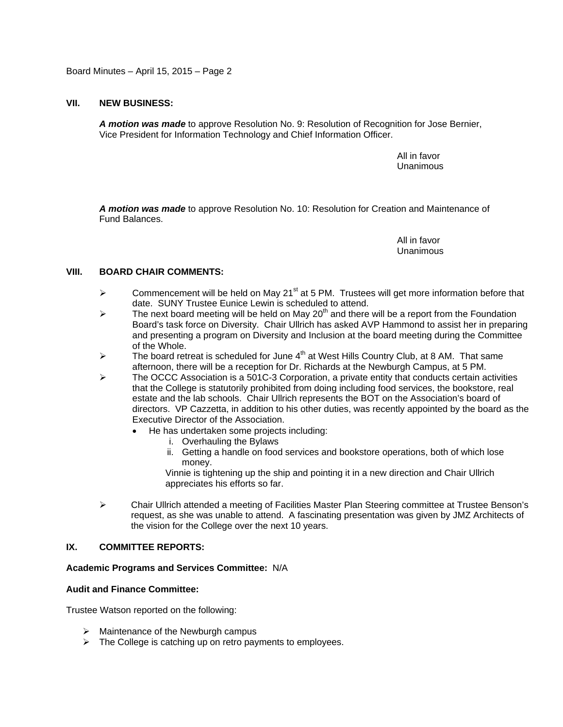Board Minutes – April 15, 2015 – Page 2

## **VII. NEW BUSINESS:**

*A motion was made* to approve Resolution No. 9: Resolution of Recognition for Jose Bernier, Vice President for Information Technology and Chief Information Officer.

> All in favor Unanimous

*A motion was made* to approve Resolution No. 10: Resolution for Creation and Maintenance of Fund Balances.

> All in favor Unanimous

## **VIII. BOARD CHAIR COMMENTS:**

- $\triangleright$  Commencement will be held on May 21<sup>st</sup> at 5 PM. Trustees will get more information before that date. SUNY Trustee Eunice Lewin is scheduled to attend.
- $\triangleright$  The next board meeting will be held on May 20<sup>th</sup> and there will be a report from the Foundation Board's task force on Diversity. Chair Ullrich has asked AVP Hammond to assist her in preparing and presenting a program on Diversity and Inclusion at the board meeting during the Committee of the Whole.
- $\triangleright$  The board retreat is scheduled for June 4<sup>th</sup> at West Hills Country Club, at 8 AM. That same afternoon, there will be a reception for Dr. Richards at the Newburgh Campus, at 5 PM.
- $\triangleright$  The OCCC Association is a 501C-3 Corporation, a private entity that conducts certain activities that the College is statutorily prohibited from doing including food services, the bookstore, real estate and the lab schools. Chair Ullrich represents the BOT on the Association's board of directors. VP Cazzetta, in addition to his other duties, was recently appointed by the board as the Executive Director of the Association.
	- He has undertaken some projects including:
		- i. Overhauling the Bylaws
		- ii. Getting a handle on food services and bookstore operations, both of which lose money.

Vinnie is tightening up the ship and pointing it in a new direction and Chair Ullrich appreciates his efforts so far.

¾ Chair Ullrich attended a meeting of Facilities Master Plan Steering committee at Trustee Benson's request, as she was unable to attend. A fascinating presentation was given by JMZ Architects of the vision for the College over the next 10 years.

# **IX. COMMITTEE REPORTS:**

### **Academic Programs and Services Committee:** N/A

### **Audit and Finance Committee:**

Trustee Watson reported on the following:

- $\triangleright$  Maintenance of the Newburgh campus
- $\triangleright$  The College is catching up on retro payments to employees.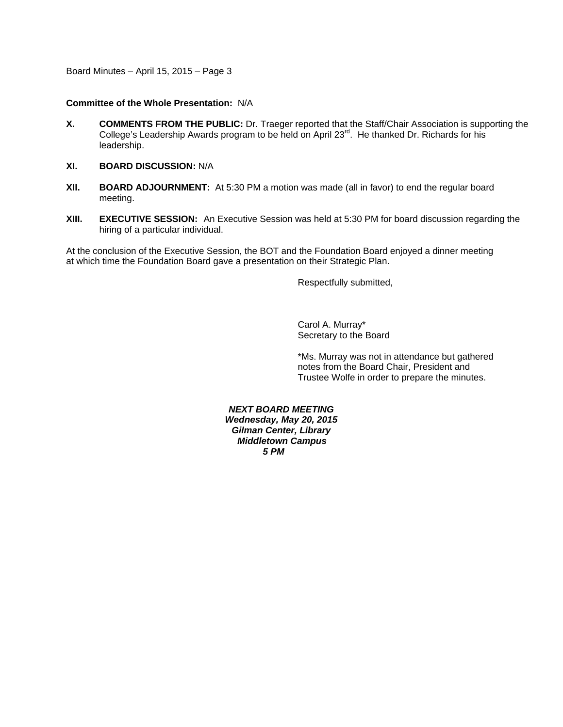Board Minutes – April 15, 2015 – Page 3

### **Committee of the Whole Presentation:** N/A

- **X. COMMENTS FROM THE PUBLIC:** Dr. Traeger reported that the Staff/Chair Association is supporting the College's Leadership Awards program to be held on April 23<sup>rd</sup>. He thanked Dr. Richards for his leadership.
- **XI. BOARD DISCUSSION:** N/A
- **XII. BOARD ADJOURNMENT:** At 5:30 PM a motion was made (all in favor) to end the regular board meeting.
- **XIII. EXECUTIVE SESSION:** An Executive Session was held at 5:30 PM for board discussion regarding the hiring of a particular individual.

At the conclusion of the Executive Session, the BOT and the Foundation Board enjoyed a dinner meeting at which time the Foundation Board gave a presentation on their Strategic Plan.

Respectfully submitted,

Carol A. Murray\* Secretary to the Board

\*Ms. Murray was not in attendance but gathered notes from the Board Chair, President and Trustee Wolfe in order to prepare the minutes.

#### *NEXT BOARD MEETING Wednesday, May 20, 2015*

*Gilman Center, Library Middletown Campus 5 PM*